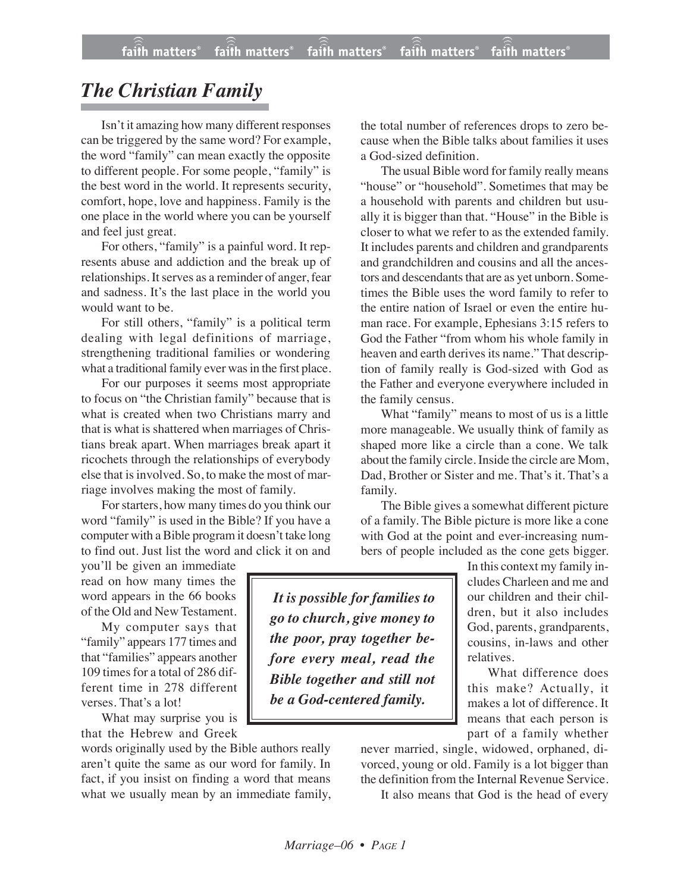## *The Christian Family*

Isn't it amazing how many different responses can be triggered by the same word? For example, the word "family" can mean exactly the opposite to different people. For some people, "family" is the best word in the world. It represents security, comfort, hope, love and happiness. Family is the one place in the world where you can be yourself and feel just great.

For others, "family" is a painful word. It represents abuse and addiction and the break up of relationships. It serves as a reminder of anger, fear and sadness. It's the last place in the world you would want to be.

For still others, "family" is a political term dealing with legal definitions of marriage, strengthening traditional families or wondering what a traditional family ever was in the first place.

For our purposes it seems most appropriate to focus on "the Christian family" because that is what is created when two Christians marry and that is what is shattered when marriages of Christians break apart. When marriages break apart it ricochets through the relationships of everybody else that is involved. So, to make the most of marriage involves making the most of family.

For starters, how many times do you think our word "family" is used in the Bible? If you have a computer with a Bible program it doesn't take long to find out. Just list the word and click it on and

you'll be given an immediate read on how many times the word appears in the 66 books of the Old and New Testament.

My computer says that "family" appears 177 times and that "families" appears another 109 times for a total of 286 different time in 278 different verses. That's a lot!

What may surprise you is that the Hebrew and Greek

words originally used by the Bible authors really aren't quite the same as our word for family. In fact, if you insist on finding a word that means what we usually mean by an immediate family, the total number of references drops to zero because when the Bible talks about families it uses a God-sized definition.

The usual Bible word for family really means "house" or "household". Sometimes that may be a household with parents and children but usually it is bigger than that. "House" in the Bible is closer to what we refer to as the extended family. It includes parents and children and grandparents and grandchildren and cousins and all the ancestors and descendants that are as yet unborn. Sometimes the Bible uses the word family to refer to the entire nation of Israel or even the entire human race. For example, Ephesians 3:15 refers to God the Father "from whom his whole family in heaven and earth derives its name." That description of family really is God-sized with God as the Father and everyone everywhere included in the family census.

What "family" means to most of us is a little more manageable. We usually think of family as shaped more like a circle than a cone. We talk about the family circle. Inside the circle are Mom, Dad, Brother or Sister and me. That's it. That's a family.

The Bible gives a somewhat different picture of a family. The Bible picture is more like a cone with God at the point and ever-increasing numbers of people included as the cone gets bigger.

*It is possible for families to go to church, give money to the poor, pray together before every meal, read the Bible together and still not be a God-centered family.*

In this context my family includes Charleen and me and our children and their children, but it also includes God, parents, grandparents, cousins, in-laws and other relatives.

What difference does this make? Actually, it makes a lot of difference. It means that each person is part of a family whether

never married, single, widowed, orphaned, divorced, young or old. Family is a lot bigger than the definition from the Internal Revenue Service.

It also means that God is the head of every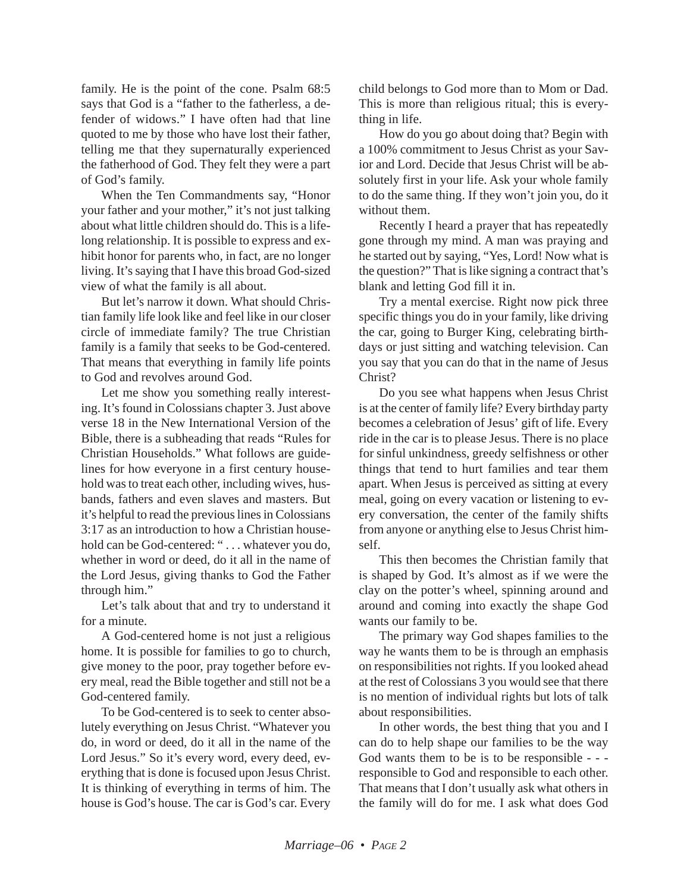family. He is the point of the cone. Psalm 68:5 says that God is a "father to the fatherless, a defender of widows." I have often had that line quoted to me by those who have lost their father, telling me that they supernaturally experienced the fatherhood of God. They felt they were a part of God's family.

When the Ten Commandments say, "Honor your father and your mother," it's not just talking about what little children should do. This is a lifelong relationship. It is possible to express and exhibit honor for parents who, in fact, are no longer living. It's saying that I have this broad God-sized view of what the family is all about.

But let's narrow it down. What should Christian family life look like and feel like in our closer circle of immediate family? The true Christian family is a family that seeks to be God-centered. That means that everything in family life points to God and revolves around God.

Let me show you something really interesting. It's found in Colossians chapter 3. Just above verse 18 in the New International Version of the Bible, there is a subheading that reads "Rules for Christian Households." What follows are guidelines for how everyone in a first century household was to treat each other, including wives, husbands, fathers and even slaves and masters. But it's helpful to read the previous lines in Colossians 3:17 as an introduction to how a Christian household can be God-centered: "... whatever you do, whether in word or deed, do it all in the name of the Lord Jesus, giving thanks to God the Father through him."

Let's talk about that and try to understand it for a minute.

A God-centered home is not just a religious home. It is possible for families to go to church, give money to the poor, pray together before every meal, read the Bible together and still not be a God-centered family.

To be God-centered is to seek to center absolutely everything on Jesus Christ. "Whatever you do, in word or deed, do it all in the name of the Lord Jesus." So it's every word, every deed, everything that is done is focused upon Jesus Christ. It is thinking of everything in terms of him. The house is God's house. The car is God's car. Every child belongs to God more than to Mom or Dad. This is more than religious ritual; this is everything in life.

How do you go about doing that? Begin with a 100% commitment to Jesus Christ as your Savior and Lord. Decide that Jesus Christ will be absolutely first in your life. Ask your whole family to do the same thing. If they won't join you, do it without them.

Recently I heard a prayer that has repeatedly gone through my mind. A man was praying and he started out by saying, "Yes, Lord! Now what is the question?" That is like signing a contract that's blank and letting God fill it in.

Try a mental exercise. Right now pick three specific things you do in your family, like driving the car, going to Burger King, celebrating birthdays or just sitting and watching television. Can you say that you can do that in the name of Jesus Christ?

Do you see what happens when Jesus Christ is at the center of family life? Every birthday party becomes a celebration of Jesus' gift of life. Every ride in the car is to please Jesus. There is no place for sinful unkindness, greedy selfishness or other things that tend to hurt families and tear them apart. When Jesus is perceived as sitting at every meal, going on every vacation or listening to every conversation, the center of the family shifts from anyone or anything else to Jesus Christ himself.

This then becomes the Christian family that is shaped by God. It's almost as if we were the clay on the potter's wheel, spinning around and around and coming into exactly the shape God wants our family to be.

The primary way God shapes families to the way he wants them to be is through an emphasis on responsibilities not rights. If you looked ahead at the rest of Colossians  $\overline{3}$  you would see that there is no mention of individual rights but lots of talk about responsibilities.

In other words, the best thing that you and I can do to help shape our families to be the way God wants them to be is to be responsible - - responsible to God and responsible to each other. That means that I don't usually ask what others in the family will do for me. I ask what does God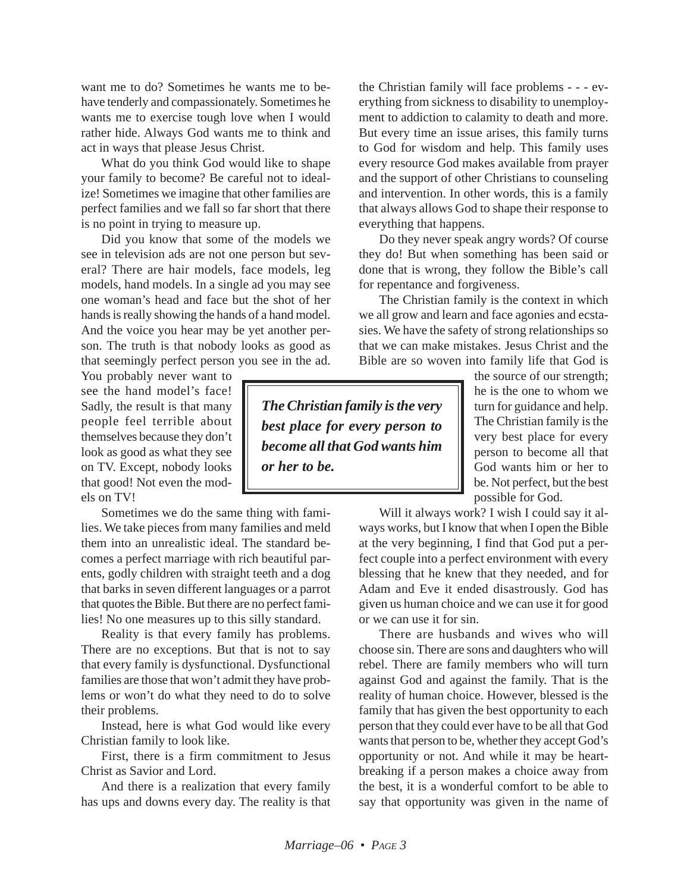want me to do? Sometimes he wants me to behave tenderly and compassionately. Sometimes he wants me to exercise tough love when I would rather hide. Always God wants me to think and act in ways that please Jesus Christ.

What do you think God would like to shape your family to become? Be careful not to idealize! Sometimes we imagine that other families are perfect families and we fall so far short that there is no point in trying to measure up.

Did you know that some of the models we see in television ads are not one person but several? There are hair models, face models, leg models, hand models. In a single ad you may see one woman's head and face but the shot of her hands is really showing the hands of a hand model. And the voice you hear may be yet another person. The truth is that nobody looks as good as that seemingly perfect person you see in the ad.

You probably never want to see the hand model's face! Sadly, the result is that many people feel terrible about themselves because they don't look as good as what they see on TV. Except, nobody looks that good! Not even the models on TV!

Sometimes we do the same thing with families. We take pieces from many families and meld them into an unrealistic ideal. The standard becomes a perfect marriage with rich beautiful parents, godly children with straight teeth and a dog that barks in seven different languages or a parrot that quotes the Bible. But there are no perfect families! No one measures up to this silly standard.

Reality is that every family has problems. There are no exceptions. But that is not to say that every family is dysfunctional. Dysfunctional families are those that won't admit they have problems or won't do what they need to do to solve their problems.

Instead, here is what God would like every Christian family to look like.

First, there is a firm commitment to Jesus Christ as Savior and Lord.

And there is a realization that every family has ups and downs every day. The reality is that the Christian family will face problems - - - everything from sickness to disability to unemployment to addiction to calamity to death and more. But every time an issue arises, this family turns to God for wisdom and help. This family uses every resource God makes available from prayer and the support of other Christians to counseling and intervention. In other words, this is a family that always allows God to shape their response to everything that happens.

Do they never speak angry words? Of course they do! But when something has been said or done that is wrong, they follow the Bible's call for repentance and forgiveness.

The Christian family is the context in which we all grow and learn and face agonies and ecstasies. We have the safety of strong relationships so that we can make mistakes. Jesus Christ and the Bible are so woven into family life that God is

*The Christian family is the very best place for every person to become all that God wants him or her to be.*

the source of our strength; he is the one to whom we turn for guidance and help. The Christian family is the very best place for every person to become all that God wants him or her to be. Not perfect, but the best possible for God.

Will it always work? I wish I could say it always works, but I know that when I open the Bible at the very beginning, I find that God put a perfect couple into a perfect environment with every blessing that he knew that they needed, and for Adam and Eve it ended disastrously. God has given us human choice and we can use it for good or we can use it for sin.

There are husbands and wives who will choose sin. There are sons and daughters who will rebel. There are family members who will turn against God and against the family. That is the reality of human choice. However, blessed is the family that has given the best opportunity to each person that they could ever have to be all that God wants that person to be, whether they accept God's opportunity or not. And while it may be heartbreaking if a person makes a choice away from the best, it is a wonderful comfort to be able to say that opportunity was given in the name of